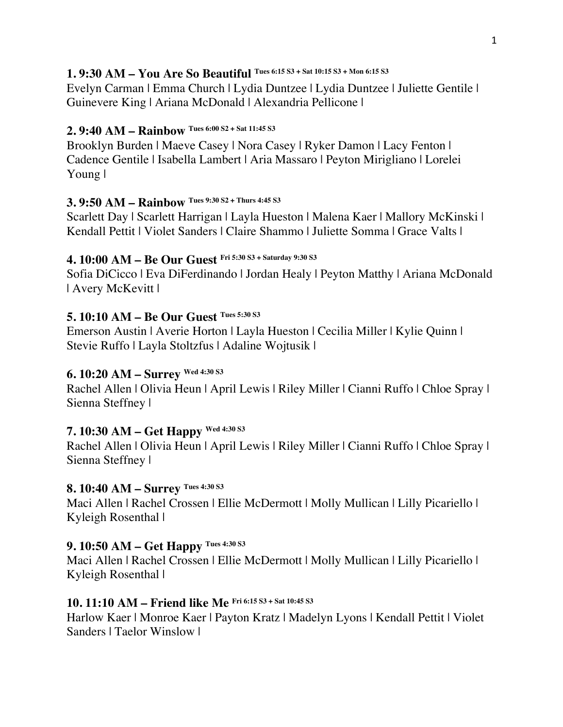### **1. 9:30 AM – You Are So Beautiful Tues 6:15 S3 + Sat 10:15 S3 + Mon 6:15 S3**

Evelyn Carman | Emma Church | Lydia Duntzee | Lydia Duntzee | Juliette Gentile | Guinevere King | Ariana McDonald | Alexandria Pellicone |

# **2. 9:40 AM – Rainbow Tues 6:00 S2 + Sat 11:45 S3**

Brooklyn Burden | Maeve Casey | Nora Casey | Ryker Damon | Lacy Fenton | Cadence Gentile | Isabella Lambert | Aria Massaro | Peyton Mirigliano | Lorelei Young |

# **3. 9:50 AM – Rainbow Tues 9:30 S2 + Thurs 4:45 S3**

Scarlett Day | Scarlett Harrigan | Layla Hueston | Malena Kaer | Mallory McKinski | Kendall Pettit | Violet Sanders | Claire Shammo | Juliette Somma | Grace Valts |

## **4. 10:00 AM – Be Our Guest Fri 5:30 S3 + Saturday 9:30 S3**

Sofia DiCicco | Eva DiFerdinando | Jordan Healy | Peyton Matthy | Ariana McDonald | Avery McKevitt |

# **5. 10:10 AM – Be Our Guest Tues 5:30 S3**

Emerson Austin | Averie Horton | Layla Hueston | Cecilia Miller | Kylie Quinn | Stevie Ruffo | Layla Stoltzfus | Adaline Wojtusik |

# **6. 10:20 AM – Surrey Wed 4:30 S3**

Rachel Allen | Olivia Heun | April Lewis | Riley Miller | Cianni Ruffo | Chloe Spray | Sienna Steffney |

# **7. 10:30 AM – Get Happy Wed 4:30 S3**

Rachel Allen | Olivia Heun | April Lewis | Riley Miller | Cianni Ruffo | Chloe Spray | Sienna Steffney |

# **8. 10:40 AM – Surrey Tues 4:30 S3**

Maci Allen | Rachel Crossen | Ellie McDermott | Molly Mullican | Lilly Picariello | Kyleigh Rosenthal |

# **9. 10:50 AM – Get Happy Tues 4:30 S3**

Maci Allen | Rachel Crossen | Ellie McDermott | Molly Mullican | Lilly Picariello | Kyleigh Rosenthal |

# **10. 11:10 AM – Friend like Me Fri 6:15 S3 + Sat 10:45 S3**

Harlow Kaer | Monroe Kaer | Payton Kratz | Madelyn Lyons | Kendall Pettit | Violet Sanders | Taelor Winslow |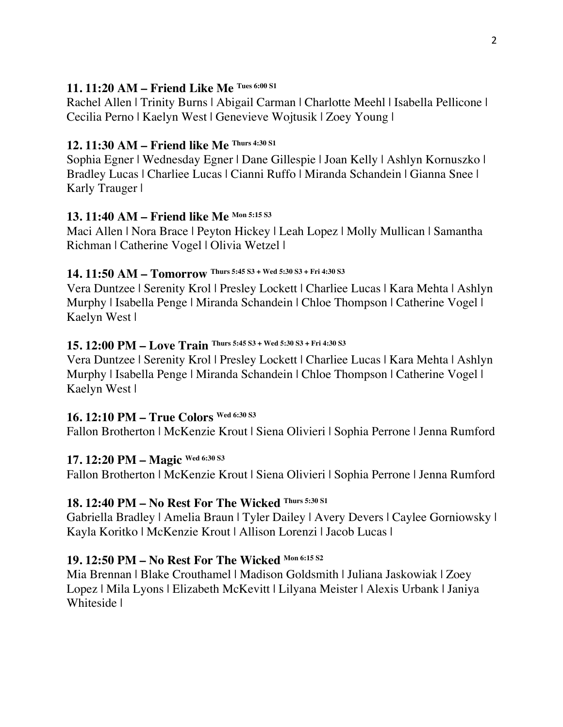#### **11. 11:20 AM – Friend Like Me Tues 6:00 S1**

Rachel Allen | Trinity Burns | Abigail Carman | Charlotte Meehl | Isabella Pellicone | Cecilia Perno | Kaelyn West | Genevieve Wojtusik | Zoey Young |

## **12. 11:30 AM – Friend like Me Thurs 4:30 S1**

Sophia Egner | Wednesday Egner | Dane Gillespie | Joan Kelly | Ashlyn Kornuszko | Bradley Lucas | Charliee Lucas | Cianni Ruffo | Miranda Schandein | Gianna Snee | Karly Trauger |

## **13. 11:40 AM – Friend like Me Mon 5:15 S3**

Maci Allen | Nora Brace | Peyton Hickey | Leah Lopez | Molly Mullican | Samantha Richman | Catherine Vogel | Olivia Wetzel |

# **14. 11:50 AM – Tomorrow Thurs 5:45 S3 + Wed 5:30 S3 + Fri 4:30 S3**

Vera Duntzee | Serenity Krol | Presley Lockett | Charliee Lucas | Kara Mehta | Ashlyn Murphy | Isabella Penge | Miranda Schandein | Chloe Thompson | Catherine Vogel | Kaelyn West |

# **15. 12:00 PM – Love Train Thurs 5:45 S3 + Wed 5:30 S3 + Fri 4:30 S3**

Vera Duntzee | Serenity Krol | Presley Lockett | Charliee Lucas | Kara Mehta | Ashlyn Murphy | Isabella Penge | Miranda Schandein | Chloe Thompson | Catherine Vogel | Kaelyn West |

# **16. 12:10 PM – True Colors Wed 6:30 S3**

Fallon Brotherton | McKenzie Krout | Siena Olivieri | Sophia Perrone | Jenna Rumford

# **17. 12:20 PM – Magic Wed 6:30 S3**

Fallon Brotherton | McKenzie Krout | Siena Olivieri | Sophia Perrone | Jenna Rumford

# **18. 12:40 PM – No Rest For The Wicked Thurs 5:30 S1**

Gabriella Bradley | Amelia Braun | Tyler Dailey | Avery Devers | Caylee Gorniowsky | Kayla Koritko | McKenzie Krout | Allison Lorenzi | Jacob Lucas |

# **19. 12:50 PM – No Rest For The Wicked Mon 6:15 S2**

Mia Brennan | Blake Crouthamel | Madison Goldsmith | Juliana Jaskowiak | Zoey Lopez | Mila Lyons | Elizabeth McKevitt | Lilyana Meister | Alexis Urbank | Janiya Whiteside |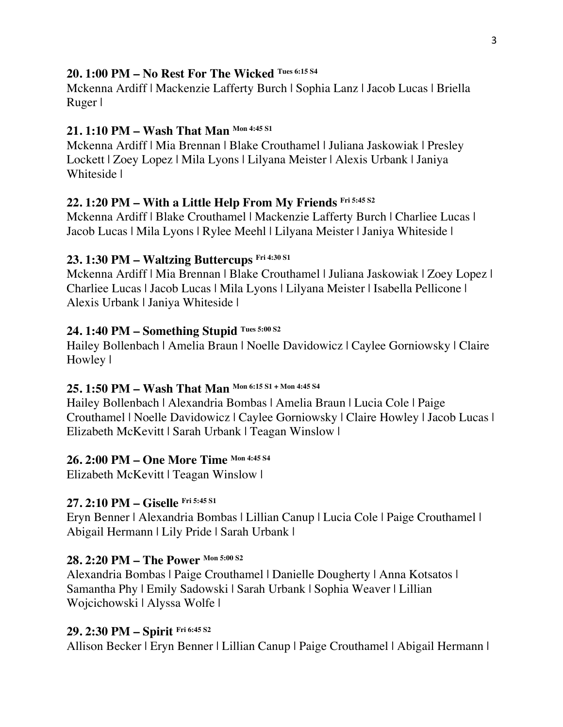#### **20. 1:00 PM – No Rest For The Wicked Tues 6:15 S4**

Mckenna Ardiff | Mackenzie Lafferty Burch | Sophia Lanz | Jacob Lucas | Briella Ruger |

#### **21. 1:10 PM – Wash That Man Mon 4:45 S1**

Mckenna Ardiff | Mia Brennan | Blake Crouthamel | Juliana Jaskowiak | Presley Lockett | Zoey Lopez | Mila Lyons | Lilyana Meister | Alexis Urbank | Janiya Whiteside |

## **22. 1:20 PM – With a Little Help From My Friends Fri 5:45 S2**

Mckenna Ardiff | Blake Crouthamel | Mackenzie Lafferty Burch | Charliee Lucas | Jacob Lucas | Mila Lyons | Rylee Meehl | Lilyana Meister | Janiya Whiteside |

#### **23. 1:30 PM – Waltzing Buttercups Fri 4:30 S1**

Mckenna Ardiff | Mia Brennan | Blake Crouthamel | Juliana Jaskowiak | Zoey Lopez | Charliee Lucas | Jacob Lucas | Mila Lyons | Lilyana Meister | Isabella Pellicone | Alexis Urbank | Janiya Whiteside |

# **24. 1:40 PM – Something Stupid Tues 5:00 S2**

Hailey Bollenbach | Amelia Braun | Noelle Davidowicz | Caylee Gorniowsky | Claire Howley |

# **25. 1:50 PM – Wash That Man Mon 6:15 S1 + Mon 4:45 S4**

Hailey Bollenbach | Alexandria Bombas | Amelia Braun | Lucia Cole | Paige Crouthamel | Noelle Davidowicz | Caylee Gorniowsky | Claire Howley | Jacob Lucas | Elizabeth McKevitt | Sarah Urbank | Teagan Winslow |

#### **26. 2:00 PM – One More Time Mon 4:45 S4**

Elizabeth McKevitt | Teagan Winslow |

#### **27. 2:10 PM – Giselle Fri 5:45 S1**

Eryn Benner | Alexandria Bombas | Lillian Canup | Lucia Cole | Paige Crouthamel | Abigail Hermann | Lily Pride | Sarah Urbank |

# **28. 2:20 PM – The Power Mon 5:00 S2**

Alexandria Bombas | Paige Crouthamel | Danielle Dougherty | Anna Kotsatos | Samantha Phy | Emily Sadowski | Sarah Urbank | Sophia Weaver | Lillian Wojcichowski | Alyssa Wolfe |

# **29. 2:30 PM – Spirit Fri 6:45 S2**

Allison Becker | Eryn Benner | Lillian Canup | Paige Crouthamel | Abigail Hermann |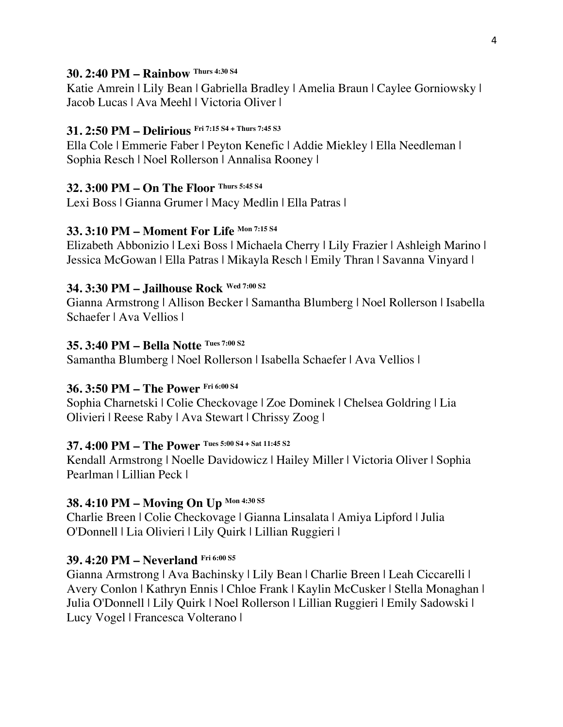#### **30. 2:40 PM – Rainbow Thurs 4:30 S4**

Katie Amrein | Lily Bean | Gabriella Bradley | Amelia Braun | Caylee Gorniowsky | Jacob Lucas | Ava Meehl | Victoria Oliver |

## **31. 2:50 PM – Delirious Fri 7:15 S4 + Thurs 7:45 S3**

Ella Cole | Emmerie Faber | Peyton Kenefic | Addie Miekley | Ella Needleman | Sophia Resch | Noel Rollerson | Annalisa Rooney |

### **32. 3:00 PM – On The Floor Thurs 5:45 S4**

Lexi Boss | Gianna Grumer | Macy Medlin | Ella Patras |

## **33. 3:10 PM – Moment For Life Mon 7:15 S4**

Elizabeth Abbonizio | Lexi Boss | Michaela Cherry | Lily Frazier | Ashleigh Marino | Jessica McGowan | Ella Patras | Mikayla Resch | Emily Thran | Savanna Vinyard |

# **34. 3:30 PM – Jailhouse Rock Wed 7:00 S2**

Gianna Armstrong | Allison Becker | Samantha Blumberg | Noel Rollerson | Isabella Schaefer | Ava Vellios |

## **35. 3:40 PM – Bella Notte Tues 7:00 S2**

Samantha Blumberg | Noel Rollerson | Isabella Schaefer | Ava Vellios |

# **36. 3:50 PM – The Power Fri 6:00 S4**

Sophia Charnetski | Colie Checkovage | Zoe Dominek | Chelsea Goldring | Lia Olivieri | Reese Raby | Ava Stewart | Chrissy Zoog |

# **37. 4:00 PM – The Power Tues 5:00 S4 + Sat 11:45 S2**

Kendall Armstrong | Noelle Davidowicz | Hailey Miller | Victoria Oliver | Sophia Pearlman | Lillian Peck |

# **38. 4:10 PM – Moving On Up Mon 4:30 S5**

Charlie Breen | Colie Checkovage | Gianna Linsalata | Amiya Lipford | Julia O'Donnell | Lia Olivieri | Lily Quirk | Lillian Ruggieri |

# **39. 4:20 PM – Neverland Fri 6:00 S5**

Gianna Armstrong | Ava Bachinsky | Lily Bean | Charlie Breen | Leah Ciccarelli | Avery Conlon | Kathryn Ennis | Chloe Frank | Kaylin McCusker | Stella Monaghan | Julia O'Donnell | Lily Quirk | Noel Rollerson | Lillian Ruggieri | Emily Sadowski | Lucy Vogel | Francesca Volterano |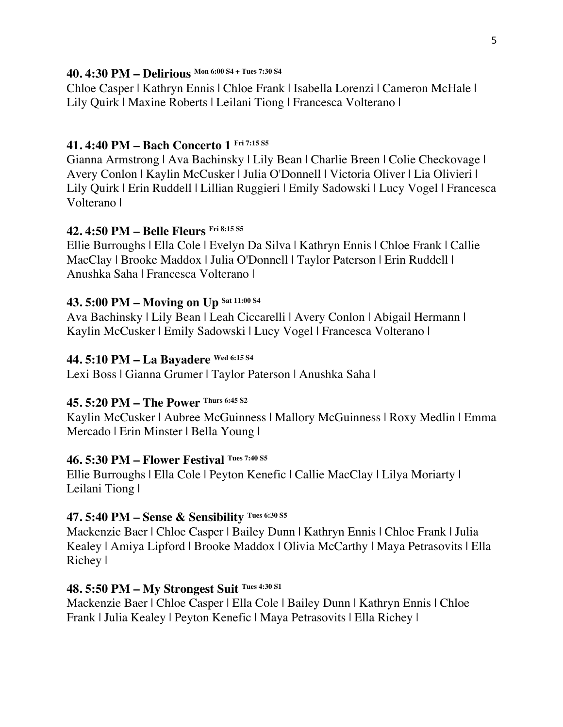#### **40. 4:30 PM – Delirious Mon 6:00 S4 + Tues 7:30 S4**

Chloe Casper | Kathryn Ennis | Chloe Frank | Isabella Lorenzi | Cameron McHale | Lily Quirk | Maxine Roberts | Leilani Tiong | Francesca Volterano |

# **41. 4:40 PM – Bach Concerto 1 Fri 7:15 S5**

Gianna Armstrong | Ava Bachinsky | Lily Bean | Charlie Breen | Colie Checkovage | Avery Conlon | Kaylin McCusker | Julia O'Donnell | Victoria Oliver | Lia Olivieri | Lily Quirk | Erin Ruddell | Lillian Ruggieri | Emily Sadowski | Lucy Vogel | Francesca Volterano |

# **42. 4:50 PM – Belle Fleurs Fri 8:15 S5**

Ellie Burroughs | Ella Cole | Evelyn Da Silva | Kathryn Ennis | Chloe Frank | Callie MacClay | Brooke Maddox | Julia O'Donnell | Taylor Paterson | Erin Ruddell | Anushka Saha | Francesca Volterano |

# **43. 5:00 PM – Moving on Up Sat 11:00 S4**

Ava Bachinsky | Lily Bean | Leah Ciccarelli | Avery Conlon | Abigail Hermann | Kaylin McCusker | Emily Sadowski | Lucy Vogel | Francesca Volterano |

## **44. 5:10 PM – La Bayadere Wed 6:15 S4**

Lexi Boss | Gianna Grumer | Taylor Paterson | Anushka Saha |

# **45. 5:20 PM – The Power Thurs 6:45 S2**

Kaylin McCusker | Aubree McGuinness | Mallory McGuinness | Roxy Medlin | Emma Mercado | Erin Minster | Bella Young |

#### **46. 5:30 PM – Flower Festival Tues 7:40 S5**

Ellie Burroughs | Ella Cole | Peyton Kenefic | Callie MacClay | Lilya Moriarty | Leilani Tiong |

# **47. 5:40 PM – Sense & Sensibility Tues 6:30 S5**

Mackenzie Baer | Chloe Casper | Bailey Dunn | Kathryn Ennis | Chloe Frank | Julia Kealey | Amiya Lipford | Brooke Maddox | Olivia McCarthy | Maya Petrasovits | Ella Richey |

# **48. 5:50 PM – My Strongest Suit Tues 4:30 S1**

Mackenzie Baer | Chloe Casper | Ella Cole | Bailey Dunn | Kathryn Ennis | Chloe Frank | Julia Kealey | Peyton Kenefic | Maya Petrasovits | Ella Richey |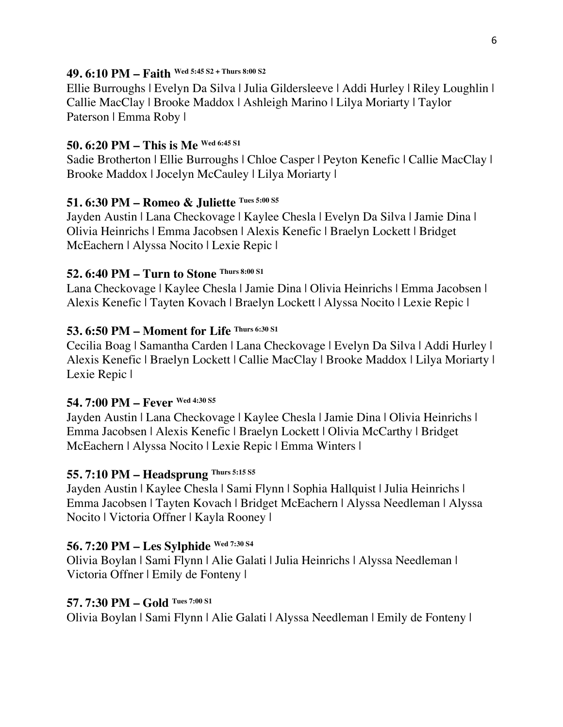#### **49. 6:10 PM – Faith Wed 5:45 S2 + Thurs 8:00 S2**

Ellie Burroughs | Evelyn Da Silva | Julia Gildersleeve | Addi Hurley | Riley Loughlin | Callie MacClay | Brooke Maddox | Ashleigh Marino | Lilya Moriarty | Taylor Paterson | Emma Roby |

#### **50. 6:20 PM – This is Me Wed 6:45 S1**

Sadie Brotherton | Ellie Burroughs | Chloe Casper | Peyton Kenefic | Callie MacClay | Brooke Maddox | Jocelyn McCauley | Lilya Moriarty |

#### **51. 6:30 PM – Romeo & Juliette Tues 5:00 S5**

Jayden Austin | Lana Checkovage | Kaylee Chesla | Evelyn Da Silva | Jamie Dina | Olivia Heinrichs | Emma Jacobsen | Alexis Kenefic | Braelyn Lockett | Bridget McEachern | Alyssa Nocito | Lexie Repic |

### **52. 6:40 PM – Turn to Stone Thurs 8:00 S1**

Lana Checkovage | Kaylee Chesla | Jamie Dina | Olivia Heinrichs | Emma Jacobsen | Alexis Kenefic | Tayten Kovach | Braelyn Lockett | Alyssa Nocito | Lexie Repic |

### **53. 6:50 PM – Moment for Life Thurs 6:30 S1**

Cecilia Boag | Samantha Carden | Lana Checkovage | Evelyn Da Silva | Addi Hurley | Alexis Kenefic | Braelyn Lockett | Callie MacClay | Brooke Maddox | Lilya Moriarty | Lexie Repic |

#### **54. 7:00 PM – Fever Wed 4:30 S5**

Jayden Austin | Lana Checkovage | Kaylee Chesla | Jamie Dina | Olivia Heinrichs | Emma Jacobsen | Alexis Kenefic | Braelyn Lockett | Olivia McCarthy | Bridget McEachern | Alyssa Nocito | Lexie Repic | Emma Winters |

### **55. 7:10 PM – Headsprung Thurs 5:15 S5**

Jayden Austin | Kaylee Chesla | Sami Flynn | Sophia Hallquist | Julia Heinrichs | Emma Jacobsen | Tayten Kovach | Bridget McEachern | Alyssa Needleman | Alyssa Nocito | Victoria Offner | Kayla Rooney |

#### **56. 7:20 PM – Les Sylphide Wed 7:30 S4**

Olivia Boylan | Sami Flynn | Alie Galati | Julia Heinrichs | Alyssa Needleman | Victoria Offner | Emily de Fonteny |

#### **57. 7:30 PM – Gold Tues 7:00 S1**

Olivia Boylan | Sami Flynn | Alie Galati | Alyssa Needleman | Emily de Fonteny |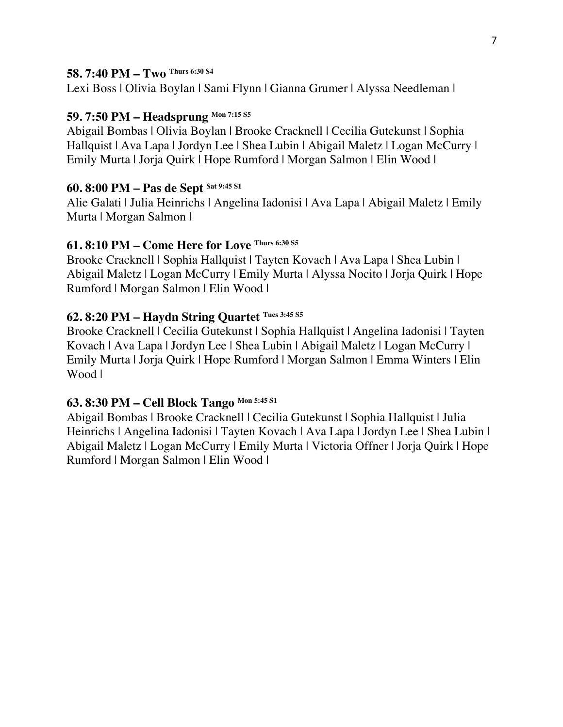#### **58. 7:40 PM – Two Thurs 6:30 S4**

Lexi Boss | Olivia Boylan | Sami Flynn | Gianna Grumer | Alyssa Needleman |

# **59. 7:50 PM – Headsprung Mon 7:15 S5**

Abigail Bombas | Olivia Boylan | Brooke Cracknell | Cecilia Gutekunst | Sophia Hallquist | Ava Lapa | Jordyn Lee | Shea Lubin | Abigail Maletz | Logan McCurry | Emily Murta | Jorja Quirk | Hope Rumford | Morgan Salmon | Elin Wood |

## **60. 8:00 PM – Pas de Sept Sat 9:45 S1**

Alie Galati | Julia Heinrichs | Angelina Iadonisi | Ava Lapa | Abigail Maletz | Emily Murta | Morgan Salmon |

## **61. 8:10 PM – Come Here for Love Thurs 6:30 S5**

Brooke Cracknell | Sophia Hallquist | Tayten Kovach | Ava Lapa | Shea Lubin | Abigail Maletz | Logan McCurry | Emily Murta | Alyssa Nocito | Jorja Quirk | Hope Rumford | Morgan Salmon | Elin Wood |

# **62. 8:20 PM – Haydn String Quartet Tues 3:45 S5**

Brooke Cracknell | Cecilia Gutekunst | Sophia Hallquist | Angelina Iadonisi | Tayten Kovach | Ava Lapa | Jordyn Lee | Shea Lubin | Abigail Maletz | Logan McCurry | Emily Murta | Jorja Quirk | Hope Rumford | Morgan Salmon | Emma Winters | Elin Wood |

#### **63. 8:30 PM – Cell Block Tango Mon 5:45 S1**

Abigail Bombas | Brooke Cracknell | Cecilia Gutekunst | Sophia Hallquist | Julia Heinrichs | Angelina Iadonisi | Tayten Kovach | Ava Lapa | Jordyn Lee | Shea Lubin | Abigail Maletz | Logan McCurry | Emily Murta | Victoria Offner | Jorja Quirk | Hope Rumford | Morgan Salmon | Elin Wood |